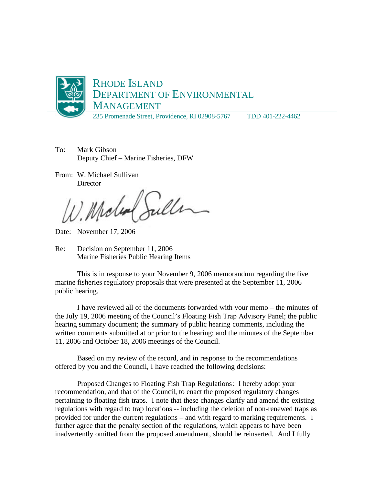

To: Mark Gibson Deputy Chief – Marine Fisheries, DFW

From: W. Michael Sullivan **Director** 

Julle Midled

Date: November 17, 2006

Re: Decision on September 11, 2006 Marine Fisheries Public Hearing Items

This is in response to your November 9, 2006 memorandum regarding the five marine fisheries regulatory proposals that were presented at the September 11, 2006 public hearing.

I have reviewed all of the documents forwarded with your memo – the minutes of the July 19, 2006 meeting of the Council's Floating Fish Trap Advisory Panel; the public hearing summary document; the summary of public hearing comments, including the written comments submitted at or prior to the hearing; and the minutes of the September 11, 2006 and October 18, 2006 meetings of the Council.

Based on my review of the record, and in response to the recommendations offered by you and the Council, I have reached the following decisions:

Proposed Changes to Floating Fish Trap Regulations: I hereby adopt your recommendation, and that of the Council, to enact the proposed regulatory changes pertaining to floating fish traps. I note that these changes clarify and amend the existing regulations with regard to trap locations -- including the deletion of non-renewed traps as provided for under the current regulations – and with regard to marking requirements. I further agree that the penalty section of the regulations, which appears to have been inadvertently omitted from the proposed amendment, should be reinserted. And I fully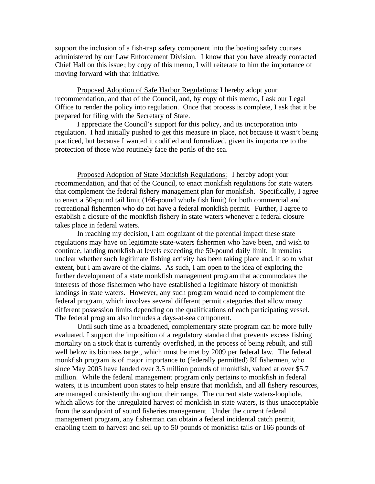support the inclusion of a fish-trap safety component into the boating safety courses administered by our Law Enforcement Division. I know that you have already contacted Chief Hall on this issue ; by copy of this memo, I will reiterate to him the importance of moving forward with that initiative.

Proposed Adoption of Safe Harbor Regulations: I hereby adopt your recommendation, and that of the Council, and, by copy of this memo, I ask our Legal Office to render the policy into regulation. Once that process is complete, I ask that it be prepared for filing with the Secretary of State.

I appreciate the Council's support for this policy, and its incorporation into regulation. I had initially pushed to get this measure in place, not because it wasn't being practiced, but because I wanted it codified and formalized, given its importance to the protection of those who routinely face the perils of the sea.

Proposed Adoption of State Monkfish Regulations: I hereby adopt your recommendation, and that of the Council, to enact monkfish regulations for state waters that complement the federal fishery management plan for monkfish. Specifically, I agree to enact a 50-pound tail limit (166-pound whole fish limit) for both commercial and recreational fishermen who do not have a federal monkfish permit. Further, I agree to establish a closure of the monkfish fishery in state waters whenever a federal closure takes place in federal waters.

In reaching my decision, I am cognizant of the potential impact these state regulations may have on legitimate state-waters fishermen who have been, and wish to continue, landing monkfish at levels exceeding the 50-pound daily limit. It remains unclear whether such legitimate fishing activity has been taking place and, if so to what extent, but I am aware of the claims. As such, I am open to the idea of exploring the further development of a state monkfish management program that accommodates the interests of those fishermen who have established a legitimate history of monkfish landings in state waters. However, any such program would need to complement the federal program, which involves several different permit categories that allow many different possession limits depending on the qualifications of each participating vessel. The federal program also includes a days-at-sea component.

Until such time as a broadened, complementary state program can be more fully evaluated, I support the imposition of a regulatory standard that prevents excess fishing mortality on a stock that is currently overfished, in the process of being rebuilt, and still well below its biomass target, which must be met by 2009 per federal law. The federal monkfish program is of major importance to (federally permitted) RI fishermen, who since May 2005 have landed over 3.5 million pounds of monkfish, valued at over \$5.7 million. While the federal management program only pertains to monkfish in federal waters, it is incumbent upon states to help ensure that monkfish, and all fishery resources, are managed consistently throughout their range. The current state waters-loophole, which allows for the unregulated harvest of monkfish in state waters, is thus unacceptable from the standpoint of sound fisheries management. Under the current federal management program, any fisherman can obtain a federal incidental catch permit, enabling them to harvest and sell up to 50 pounds of monkfish tails or 166 pounds of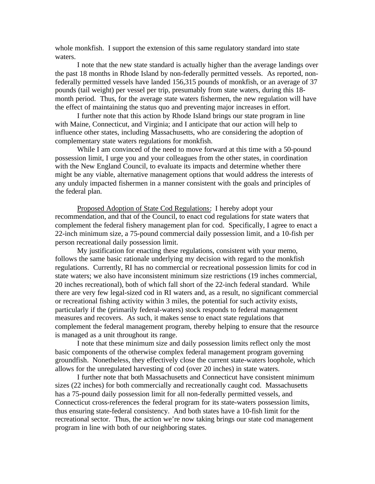whole monkfish. I support the extension of this same regulatory standard into state waters.

I note that the new state standard is actually higher than the average landings over the past 18 months in Rhode Island by non-federally permitted vessels. As reported, nonfederally permitted vessels have landed 156,315 pounds of monkfish, or an average of 37 pounds (tail weight) per vessel per trip, presumably from state waters, during this 18 month period. Thus, for the average state waters fishermen, the new regulation will have the effect of maintaining the status quo and preventing major increases in effort.

I further note that this action by Rhode Island brings our state program in line with Maine, Connecticut, and Virginia; and I anticipate that our action will help to influence other states, including Massachusetts, who are considering the adoption of complementary state waters regulations for monkfish.

While I am convinced of the need to move forward at this time with a 50-pound possession limit, I urge you and your colleagues from the other states, in coordination with the New England Council, to evaluate its impacts and determine whether there might be any viable, alternative management options that would address the interests of any unduly impacted fishermen in a manner consistent with the goals and principles of the federal plan.

Proposed Adoption of State Cod Regulations: I hereby adopt your recommendation, and that of the Council, to enact cod regulations for state waters that complement the federal fishery management plan for cod. Specifically, I agree to enact a 22-inch minimum size, a 75-pound commercial daily possession limit, and a 10-fish per person recreational daily possession limit.

My justification for enacting these regulations, consistent with your memo, follows the same basic rationale underlying my decision with regard to the monkfish regulations. Currently, RI has no commercial or recreational possession limits for cod in state waters; we also have inconsistent minimum size restrictions (19 inches commercial, 20 inches recreational), both of which fall short of the 22-inch federal standard. While there are very few legal-sized cod in RI waters and, as a result, no significant commercial or recreational fishing activity within 3 miles, the potential for such activity exists, particularly if the (primarily federal-waters) stock responds to federal management measures and recovers. As such, it makes sense to enact state regulations that complement the federal management program, thereby helping to ensure that the resource is managed as a unit throughout its range.

I note that these minimum size and daily possession limits reflect only the most basic components of the otherwise complex federal management program governing groundfish. Nonetheless, they effectively close the current state-waters loophole, which allows for the unregulated harvesting of cod (over 20 inches) in state waters.

I further note that both Massachusetts and Connecticut have consistent minimum sizes (22 inches) for both commercially and recreationally caught cod. Massachusetts has a 75-pound daily possession limit for all non-federally permitted vessels, and Connecticut cross-references the federal program for its state-waters possession limits, thus ensuring state-federal consistency. And both states have a 10-fish limit for the recreational sector. Thus, the action we're now taking brings our state cod management program in line with both of our neighboring states.